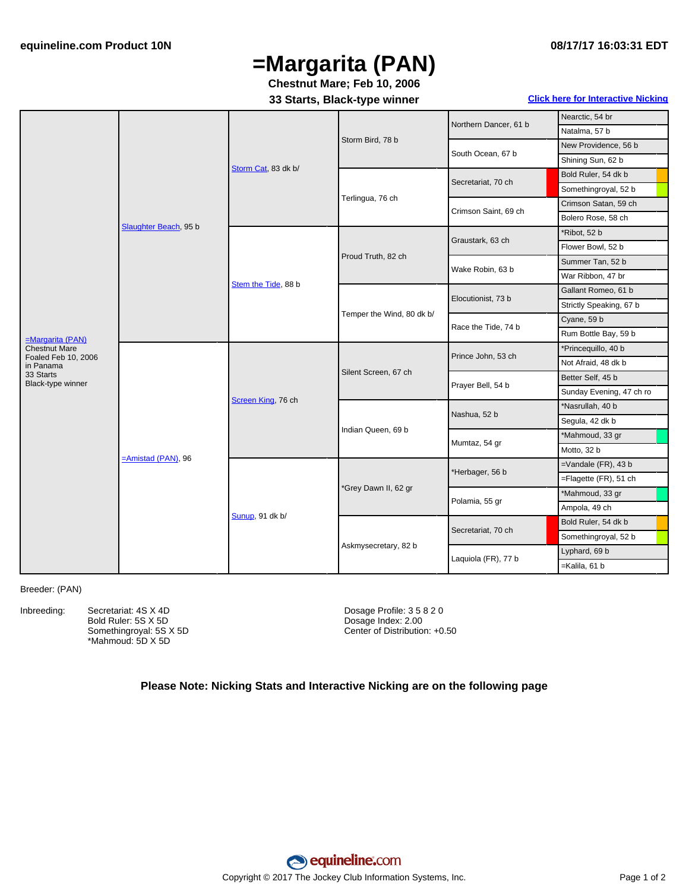# **=Margarita (PAN)**

**Chestnut Mare; Feb 10, 2006**

**33 Starts, Black-type winner Click here for [Interactive](#page-1-0) Nicking**

|                                          | Slaughter Beach, 95 b | Storm Cat, 83 dk b/ | Storm Bird, 78 b          | Northern Dancer, 61 b | Nearctic, 54 br          |
|------------------------------------------|-----------------------|---------------------|---------------------------|-----------------------|--------------------------|
|                                          |                       |                     |                           |                       | Natalma, 57 b            |
|                                          |                       |                     |                           | South Ocean, 67 b     | New Providence, 56 b     |
|                                          |                       |                     |                           |                       | Shining Sun, 62 b        |
|                                          |                       |                     | Terlingua, 76 ch          | Secretariat, 70 ch    | Bold Ruler, 54 dk b      |
|                                          |                       |                     |                           |                       | Somethingroyal, 52 b     |
|                                          |                       |                     |                           | Crimson Saint, 69 ch  | Crimson Satan, 59 ch     |
|                                          |                       |                     |                           |                       | Bolero Rose, 58 ch       |
|                                          |                       | Stem the Tide, 88 b | Proud Truth, 82 ch        | Graustark, 63 ch      | *Ribot, 52 b             |
|                                          |                       |                     |                           |                       | Flower Bowl, 52 b        |
|                                          |                       |                     |                           | Wake Robin, 63 b      | Summer Tan, 52 b         |
|                                          |                       |                     |                           |                       | War Ribbon, 47 br        |
|                                          |                       |                     | Temper the Wind, 80 dk b/ | Elocutionist, 73 b    | Gallant Romeo, 61 b      |
|                                          |                       |                     |                           |                       | Strictly Speaking, 67 b  |
| =Margarita (PAN)<br><b>Chestnut Mare</b> |                       |                     |                           | Race the Tide, 74 b   | Cyane, 59 b              |
|                                          |                       |                     |                           |                       | Rum Bottle Bay, 59 b     |
|                                          | $=$ Amistad (PAN), 96 | Screen King, 76 ch  | Silent Screen, 67 ch      | Prince John, 53 ch    | *Princequillo, 40 b      |
| Foaled Feb 10, 2006<br>in Panama         |                       |                     |                           |                       | Not Afraid, 48 dk b      |
| 33 Starts<br>Black-type winner           |                       |                     |                           | Prayer Bell, 54 b     | Better Self, 45 b        |
|                                          |                       |                     |                           |                       | Sunday Evening, 47 ch ro |
|                                          |                       |                     | Indian Queen, 69 b        | Nashua, 52 b          | *Nasrullah, 40 b         |
|                                          |                       |                     |                           |                       | Segula, 42 dk b          |
|                                          |                       |                     |                           | Mumtaz, 54 gr         | *Mahmoud, 33 gr          |
|                                          |                       |                     |                           |                       | Motto, 32 b              |
|                                          |                       | Sunup, 91 dk b/     | *Grey Dawn II, 62 gr      | *Herbager, 56 b       | $=$ Vandale (FR), 43 b   |
|                                          |                       |                     |                           |                       | =Flagette (FR), 51 ch    |
|                                          |                       |                     |                           | Polamia, 55 gr        | *Mahmoud, 33 gr          |
|                                          |                       |                     |                           |                       | Ampola, 49 ch            |
|                                          |                       |                     | Askmysecretary, 82 b      | Secretariat, 70 ch    | Bold Ruler, 54 dk b      |
|                                          |                       |                     |                           |                       | Somethingroyal, 52 b     |
|                                          |                       |                     |                           | Laquiola (FR), 77 b   | Lyphard, 69 b            |
|                                          |                       |                     |                           |                       | =Kalila, 61 b            |
|                                          |                       |                     |                           |                       |                          |

#### Breeder: (PAN)

Inbreeding: Secretariat: 4S X 4D Bold Ruler: 5S X 5D Somethingroyal: 5S X 5D \*Mahmoud: 5D X 5D

Dosage Profile: 3 5 8 2 0 Dosage Index: 2.00 Center of Distribution: +0.50

### **Please Note: Nicking Stats and Interactive Nicking are on the following page**